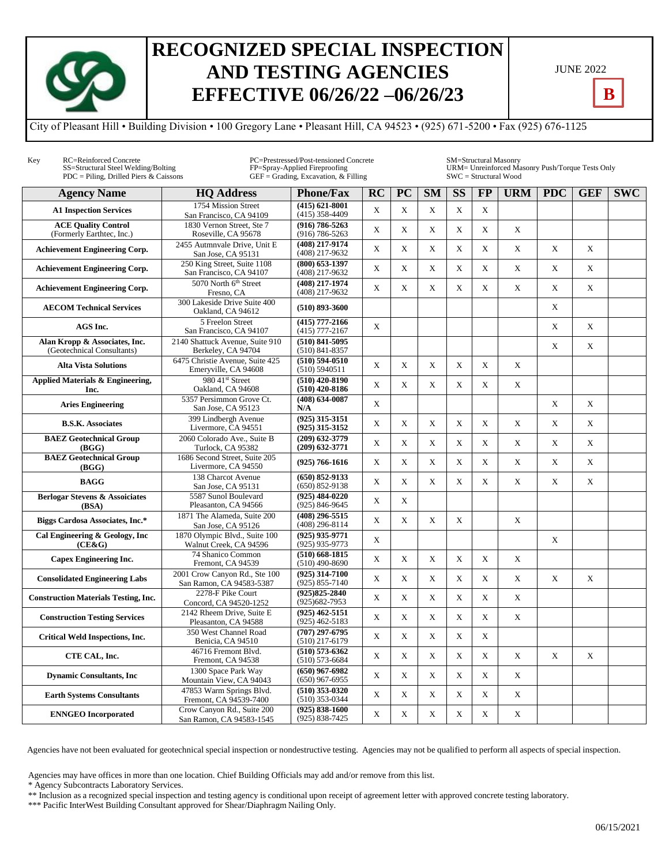

## **RECOGNIZED SPECIAL INSPECTION AND TESTING AGENCIES EFFECTIVE 06/26/22 –06/26/23**

| <b>JUNE 2022</b> |  |
|------------------|--|
|------------------|--|

**B**

City of Pleasant Hill • Building Division • 100 Gregory Lane • Pleasant Hill, CA 94523 • (925) 671-5200 • Fax (925) 676-1125

| Key | RC=Reinforced Concrete<br>SS=Structural Steel Welding/Bolting<br>$PDC = Piling$ , Drilled Piers & Caissons | PC=Prestressed/Post-tensioned Concrete<br>FP=Spray-Applied Fireproofing<br>$GEF = Grading$ , Excavation, & Filling |                                          |             |             |             | SM=Structural Masonry<br>URM= Unreinforced Masonry Push/Torque Tests Only<br>$SWC = Structural Wood$ |             |             |             |             |            |  |  |
|-----|------------------------------------------------------------------------------------------------------------|--------------------------------------------------------------------------------------------------------------------|------------------------------------------|-------------|-------------|-------------|------------------------------------------------------------------------------------------------------|-------------|-------------|-------------|-------------|------------|--|--|
|     | <b>Agency Name</b>                                                                                         | <b>HO Address</b>                                                                                                  | <b>Phone/Fax</b>                         | RC          | <b>PC</b>   | <b>SM</b>   | $\overline{\text{SS}}$                                                                               | <b>FP</b>   | <b>URM</b>  | <b>PDC</b>  | <b>GEF</b>  | <b>SWC</b> |  |  |
|     | <b>A1 Inspection Services</b>                                                                              | 1754 Mission Street<br>San Francisco, CA 94109                                                                     | $(415) 621 - 8001$<br>$(415)$ 358-4409   | X           | $\mathbf X$ | X           | X                                                                                                    | $\mathbf X$ |             |             |             |            |  |  |
|     | <b>ACE Quality Control</b><br>(Formerly Earthtec, Inc.)                                                    | 1830 Vernon Street. Ste 7<br>Roseville, CA 95678                                                                   | $(916) 786 - 5263$<br>$(916) 786 - 5263$ | X           | X           | X           | X                                                                                                    | $\mathbf X$ | X           |             |             |            |  |  |
|     | <b>Achievement Engineering Corp.</b>                                                                       | 2455 Autmnvale Drive, Unit E<br>San Jose, CA 95131                                                                 | (408) 217-9174<br>(408) 217-9632         | X           | X           | X           | X                                                                                                    | X           | X           | X           | X           |            |  |  |
|     | <b>Achievement Engineering Corp.</b>                                                                       | 250 King Street, Suite 1108<br>San Francisco, CA 94107                                                             | $(800)$ 653-1397<br>(408) 217-9632       | X           | $\mathbf X$ | X           | X                                                                                                    | $\mathbf X$ | X           | X           | $\mathbf X$ |            |  |  |
|     | <b>Achievement Engineering Corp.</b>                                                                       | 5070 North 6 <sup>th</sup> Street<br>Fresno, CA                                                                    | (408) 217-1974<br>(408) 217-9632         | X           | $\mathbf X$ | X           | X                                                                                                    | X           | $\mathbf X$ | $\mathbf X$ | $\mathbf X$ |            |  |  |
|     | <b>AECOM Technical Services</b>                                                                            | 300 Lakeside Drive Suite 400<br>Oakland, CA 94612                                                                  | $(510) 893 - 3600$                       |             |             |             |                                                                                                      |             |             | X           |             |            |  |  |
|     | AGS Inc.                                                                                                   | 5 Freelon Street<br>San Francisco, CA 94107                                                                        | $(415)$ 777-2166<br>$(415)$ 777-2167     | $\mathbf X$ |             |             |                                                                                                      |             |             | X           | $\mathbf X$ |            |  |  |
|     | Alan Kropp & Associates, Inc.<br>(Geotechnical Consultants)                                                | 2140 Shattuck Avenue, Suite 910<br>Berkeley, CA 94704                                                              | $(510) 841 - 5095$<br>$(510) 841 - 8357$ |             |             |             |                                                                                                      |             |             | X           | X           |            |  |  |
|     | <b>Alta Vista Solutions</b>                                                                                | 6475 Christie Avenue, Suite 425<br>Emeryville, CA 94608                                                            | $(510) 594 - 0510$<br>(510) 5940511      | X           | $\mathbf X$ | X           | X                                                                                                    | $\mathbf X$ | X           |             |             |            |  |  |
|     | Applied Materials & Engineering,<br>Inc.                                                                   | 980 41st Street<br>Oakland, CA 94608                                                                               | $(510)$ 420-8190<br>$(510)$ 420-8186     | X           | $\mathbf X$ | X           | X                                                                                                    | X           | X           |             |             |            |  |  |
|     | <b>Aries Engineering</b>                                                                                   | 5357 Persimmon Grove Ct.<br>San Jose, CA 95123                                                                     | $(408) 634 - 0087$<br>N/A                | X           |             |             |                                                                                                      |             |             | X           | X           |            |  |  |
|     | <b>B.S.K. Associates</b>                                                                                   | 399 Lindbergh Avenue<br>Livermore, CA 94551                                                                        | $(925)$ 315-3151<br>$(925)$ 315-3152     | X           | X           | X           | X                                                                                                    | X           | X           | X           | X           |            |  |  |
|     | <b>BAEZ</b> Geotechnical Group<br>(BGG)                                                                    | 2060 Colorado Ave., Suite B<br>Turlock, CA 95382                                                                   | $(209)$ 632-3779<br>$(209) 632 - 3771$   | X           | X           | X           | X                                                                                                    | X           | X           | X           | X           |            |  |  |
|     | <b>BAEZ</b> Geotechnical Group<br>(BGG)                                                                    | 1686 Second Street. Suite 205<br>Livermore, CA 94550                                                               | $(925) 766 - 1616$                       | X           | $\mathbf X$ | X           | X                                                                                                    | $\mathbf X$ | X           | X           | X           |            |  |  |
|     | <b>BAGG</b>                                                                                                | 138 Charcot Avenue<br>San Jose, CA 95131                                                                           | $(650) 852 - 9133$<br>$(650) 852 - 9138$ | X           | X           | X           | X                                                                                                    | X           | X           | X           | $\mathbf X$ |            |  |  |
|     | <b>Berlogar Stevens &amp; Assoiciates</b><br>(BSA)                                                         | 5587 Sunol Boulevard<br>Pleasanton, CA 94566                                                                       | $(925)$ 484-0220<br>$(925) 846 - 9645$   | X           | $\mathbf X$ |             |                                                                                                      |             |             |             |             |            |  |  |
|     | Biggs Cardosa Associates, Inc.*                                                                            | 1871 The Alameda, Suite 200<br>San Jose, CA 95126                                                                  | $(408)$ 296-5515<br>$(408)$ 296-8114     | X           | $\mathbf X$ | X           | X                                                                                                    |             | X           |             |             |            |  |  |
|     | Cal Engineering & Geology, Inc<br>(CE&G)                                                                   | 1870 Olympic Blvd., Suite 100<br>Walnut Creek, CA 94596                                                            | $(925)$ 935-9771<br>$(925)$ 935-9773     | X           |             |             |                                                                                                      |             |             | X           |             |            |  |  |
|     | <b>Capex Engineering Inc.</b>                                                                              | 74 Shanico Common<br>Fremont, CA 94539                                                                             | $(510)$ 668-1815<br>$(510)$ 490-8690     | X           | $\mathbf X$ | X           | X                                                                                                    | X           | X           |             |             |            |  |  |
|     | <b>Consolidated Engineering Labs</b>                                                                       | 2001 Crow Canyon Rd., Ste 100<br>San Ramon, CA 94583-5387                                                          | $(925)$ 314-7100<br>$(925) 855 - 7140$   | X           | $\mathbf X$ | X           | X                                                                                                    | X           | X           | X           | X           |            |  |  |
|     | <b>Construction Materials Testing, Inc.</b>                                                                | 2278-F Pike Court<br>Concord, CA 94520-1252                                                                        | $(925)825 - 2840$<br>$(925)682 - 7953$   | X           | X           | X           | X                                                                                                    | $\mathbf X$ | X           |             |             |            |  |  |
|     | <b>Construction Testing Services</b>                                                                       | 2142 Rheem Drive, Suite E<br>Pleasanton, CA 94588                                                                  | $(925)$ 462-5151<br>$(925)$ 462-5183     | X           | $\mathbf X$ | X           | X                                                                                                    | X           | X           |             |             |            |  |  |
|     | <b>Critical Weld Inspections, Inc.</b>                                                                     | 350 West Channel Road<br>Benicia, CA 94510                                                                         | $(707)$ 297-6795<br>$(510)$ 217-6179     | X           | $\mathbf X$ | X           | X                                                                                                    | X           |             |             |             |            |  |  |
|     | CTE CAL, Inc.                                                                                              | 46716 Fremont Blvd.<br>Fremont, CA 94538                                                                           | $(510) 573 - 6362$<br>$(510) 573 - 6684$ | X           | $\mathbf X$ | X           | X                                                                                                    | $\mathbf X$ | X           | X           | X           |            |  |  |
|     | <b>Dynamic Consultants, Inc.</b>                                                                           | 1300 Space Park Way<br>Mountain View, CA 94043                                                                     | $(650)$ 967-6982<br>$(650)$ 967-6955     | X           | $\mathbf X$ | X           | X                                                                                                    | X           | X           |             |             |            |  |  |
|     | <b>Earth Systems Consultants</b>                                                                           | 47853 Warm Springs Blvd.<br>Fremont, CA 94539-7400                                                                 | $(510)$ 353-0320<br>$(510)$ 353-0344     | X           | $\mathbf X$ | $\mathbf X$ | $\mathbf X$                                                                                          | $\mathbf X$ | X           |             |             |            |  |  |
|     | <b>ENNGEO</b> Incorporated                                                                                 | Crow Canyon Rd., Suite 200<br>San Ramon, CA 94583-1545                                                             | $(925) 838 - 1600$<br>$(925) 838 - 7425$ | X           | $\mathbf X$ | $\mathbf X$ | X                                                                                                    | $\mathbf X$ | X           |             |             |            |  |  |

Agencies have not been evaluated for geotechnical special inspection or nondestructive testing. Agencies may not be qualified to perform all aspects of special inspection.

Agencies may have offices in more than one location. Chief Building Officials may add and/or remove from this list.

\* Agency Subcontracts Laboratory Services.

\*\* Inclusion as a recognized special inspection and testing agency is conditional upon receipt of agreement letter with approved concrete testing laboratory.

\*\*\* Pacific InterWest Building Consultant approved for Shear/Diaphragm Nailing Only.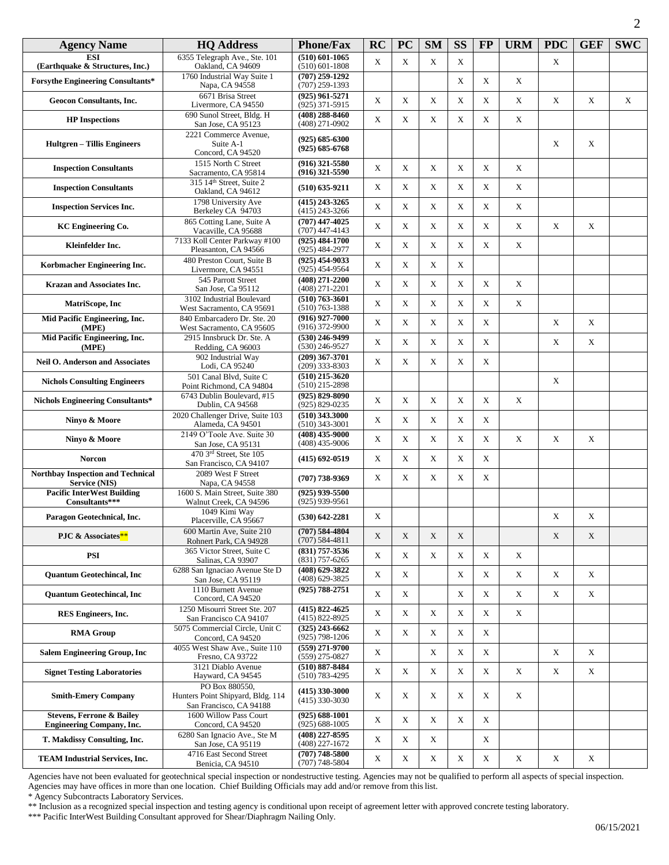| <b>Agency Name</b>                                                       | <b>HQ Address</b>                                                              | <b>Phone/Fax</b>                         | <b>RC</b>   | <b>PC</b>   | <b>SM</b>   | <b>SS</b>   | $\bf FP$    | <b>URM</b>  | <b>PDC</b>  | <b>GEF</b>  | <b>SWC</b> |
|--------------------------------------------------------------------------|--------------------------------------------------------------------------------|------------------------------------------|-------------|-------------|-------------|-------------|-------------|-------------|-------------|-------------|------------|
| <b>ESI</b><br>(Earthquake & Structures, Inc.)                            | 6355 Telegraph Ave., Ste. 101<br>Oakland, CA 94609                             | $(510) 601 - 1065$<br>$(510)$ 601-1808   | $\mathbf X$ | X           | X           | X           |             |             | X           |             |            |
| <b>Forsythe Engineering Consultants*</b>                                 | 1760 Industrial Way Suite 1<br>Napa, CA 94558                                  | $(707)$ 259-1292<br>$(707)$ 259-1393     |             |             |             | X           | X           | X           |             |             |            |
| <b>Geocon Consultants, Inc.</b>                                          | 6671 Brisa Street<br>Livermore, CA 94550                                       | $(925)$ 961-5271<br>$(925)$ 371-5915     | X           | X           | X           | X           | X           | X           | X           | $\mathbf X$ | X          |
| <b>HP</b> Inspections                                                    | 690 Sunol Street, Bldg. H<br>San Jose, CA 95123                                | $(408)$ 288-8460<br>$(408)$ 271-0902     | X           | $\mathbf X$ | X           | X           | X           | $\mathbf X$ |             |             |            |
| <b>Hultgren</b> – Tillis Engineers                                       | 2221 Commerce Avenue,<br>Suite A-1<br>Concord, CA 94520                        | $(925) 685 - 6300$<br>$(925) 685 - 6768$ |             |             |             |             |             |             | X           | X           |            |
| <b>Inspection Consultants</b>                                            | 1515 North C Street<br>Sacramento, CA 95814                                    | $(916)$ 321-5580<br>$(916)$ 321-5590     | X           | X           | X           | X           | X           | X           |             |             |            |
| <b>Inspection Consultants</b>                                            | 315 14th Street, Suite 2<br>Oakland, CA 94612                                  | $(510) 635 - 9211$                       | X           | X           | X           | X           | X           | $\mathbf X$ |             |             |            |
| <b>Inspection Services Inc.</b>                                          | 1798 University Ave<br>Berkeley CA 94703                                       | $(415)$ 243-3265<br>$(415)$ 243-3266     | X           | X           | X           | X           | X           | X           |             |             |            |
| <b>KC</b> Engineering Co.                                                | 865 Cotting Lane, Suite A<br>Vacaville, CA 95688                               | $(707)$ 447-4025<br>$(707)$ 447-4143     | X           | X           | X           | X           | X           | $\mathbf X$ | $\mathbf X$ | $\mathbf X$ |            |
| Kleinfelder Inc.                                                         | 7133 Koll Center Parkway #100<br>Pleasanton, CA 94566                          | $(925) 484 - 1700$<br>$(925)$ 484-2977   | X           | X           | X           | X           | X           | X           |             |             |            |
| Korbmacher Engineering Inc.                                              | 480 Preston Court, Suite B<br>Livermore, CA 94551                              | $(925)$ 454-9033<br>$(925)$ 454-9564     | X           | X           | X           | X           |             |             |             |             |            |
| <b>Krazan and Associates Inc.</b>                                        | 545 Parrott Street<br>San Jose, Ca 95112                                       | $(408)$ 271-2200<br>$(408)$ 271-2201     | X           | X           | X           | X           | X           | X           |             |             |            |
| MatriScope, Inc                                                          | 3102 Industrial Boulevard<br>West Sacramento, CA 95691                         | $(510) 763 - 3601$<br>$(510) 763 - 1388$ | X           | X           | $\mathbf X$ | X           | X           | $\mathbf X$ |             |             |            |
| Mid Pacific Engineering, Inc.<br>(MPE)                                   | 840 Embarcadero Dr. Ste. 20<br>West Sacramento, CA 95605                       | $(916)$ 927-7000<br>$(916)$ 372-9900     | X           | X           | X           | $\mathbf X$ | X           |             | X           | X           |            |
| Mid Pacific Engineering, Inc.<br>(MPE)                                   | 2915 Innsbruck Dr. Ste. A<br>Redding, CA 96003                                 | $(530)$ 246-9499<br>$(530)$ 246-9527     | X           | X           | $\mathbf X$ | X           | X           |             | X           | $\mathbf X$ |            |
| <b>Neil O. Anderson and Associates</b>                                   | 902 Industrial Way<br>Lodi, CA 95240                                           | $(209)$ 367-3701<br>$(209)$ 333-8303     | X           | X           | X           | X           | X           |             |             |             |            |
| <b>Nichols Consulting Engineers</b>                                      | 501 Canal Blvd, Suite C<br>Point Richmond, CA 94804                            | $(510)$ 215-3620<br>$(510)$ 215-2898     |             |             |             |             |             |             | $\mathbf X$ |             |            |
| <b>Nichols Engineering Consultants*</b>                                  | 6743 Dublin Boulevard, #15<br>Dublin, CA 94568                                 | $(925) 829 - 8090$<br>$(925) 829 - 0235$ | X           | X           | $\mathbf X$ | $\mathbf X$ | $\mathbf X$ | $\mathbf X$ |             |             |            |
| Ninyo & Moore                                                            | 2020 Challenger Drive, Suite 103<br>Alameda, CA 94501                          | $(510)$ 343.3000<br>$(510)$ 343-3001     | X           | X           | X           | X           | X           |             |             |             |            |
| Ninyo & Moore                                                            | 2149 O'Toole Ave. Suite 30<br>San Jose, CA 95131                               | $(408)$ 435-9000<br>$(408)$ 435-9006     | X           | X           | $\mathbf X$ | $\mathbf X$ | $\mathbf X$ | $\mathbf X$ | X           | $\mathbf X$ |            |
| <b>Norcon</b>                                                            | 470 3rd Street, Ste 105<br>San Francisco, CA 94107                             | $(415) 692 - 0519$                       | X           | X           | $\mathbf X$ | X           | X           |             |             |             |            |
| <b>Northbay Inspection and Technical</b><br>Service (NIS)                | 2089 West F Street<br>Napa, CA 94558                                           | $(707)$ 738-9369                         | X           | X           | $\mathbf X$ | X           | X           |             |             |             |            |
| <b>Pacific InterWest Building</b><br>Consultants***                      | 1600 S. Main Street, Suite 380<br>Walnut Creek, CA 94596                       | $(925)$ 939-5500<br>$(925)$ 939-9561     |             |             |             |             |             |             |             |             |            |
| Paragon Geotechnical, Inc.                                               | 1049 Kimi Way<br>Placerville, CA 95667                                         | $(530) 642 - 2281$                       | X           |             |             |             |             |             | X           | X           |            |
| PJC & Associates**                                                       | 600 Martin Ave, Suite 210<br>Rohnert Park, CA 94928                            | $(707) 584 - 4804$<br>$(707) 584 - 4811$ | X           | $\mathbf X$ | X           | X           |             |             | $\mathbf X$ | $\mathbf X$ |            |
| <b>PSI</b>                                                               | 365 Victor Street, Suite C<br>Salinas, CA 93907                                | $(831)$ 757-3536<br>$(831)$ 757-6265     | X           | X           | X           | X           | X           | X           |             |             |            |
| <b>Quantum Geotechincal, Inc.</b>                                        | 6288 San Ignaciao Avenue Ste D<br>San Jose, CA 95119                           | (408) 629-3822<br>$(408)$ 629-3825       | X           | X           |             | X           | X           | $\mathbf X$ | X           | X           |            |
| <b>Ouantum Geotechincal, Inc.</b>                                        | 1110 Burnett Avenue<br>Concord, CA 94520                                       | $(925) 788 - 2751$                       | X           | X           |             | X           | X           | X           | X           | X           |            |
| <b>RES Engineers, Inc.</b>                                               | 1250 Misourri Street Ste. 207<br>San Francisco CA 94107                        | $(415) 822 - 4625$<br>$(415) 822 - 8925$ | X           | X           | X           | X           | $\mathbf X$ | $\mathbf X$ |             |             |            |
| <b>RMA Group</b>                                                         | 5075 Commercial Circle, Unit C<br>Concord, CA 94520                            | $(325)$ 243-6662<br>$(925)$ 798-1206     | X           | X           | X           | X           | X           |             |             |             |            |
| <b>Salem Engineering Group, Inc.</b>                                     | 4055 West Shaw Ave., Suite 110<br>Fresno, CA 93722                             | $(559)$ 271-9700<br>$(559)$ 275-0827     | X           |             | X           | X           | X           |             | X           | $\mathbf X$ |            |
| <b>Signet Testing Laboratories</b>                                       | 3121 Diablo Avenue<br>Hayward, CA 94545                                        | $(510) 887 - 8484$<br>$(510) 783 - 4295$ | X           | $\mathbf X$ | X           | X           | X           | X           | X           | $\mathbf X$ |            |
| <b>Smith-Emery Company</b>                                               | PO Box 880550,<br>Hunters Point Shipyard, Bldg. 114<br>San Francisco, CA 94188 | $(415)$ 330-3000<br>$(415)$ 330-3030     | X           | X           | X           | X           | X           | X           |             |             |            |
| <b>Stevens, Ferrone &amp; Bailey</b><br><b>Engineering Company, Inc.</b> | 1600 Willow Pass Court<br>Concord, CA 94520                                    | $(925) 688 - 1001$<br>$(925) 688 - 1005$ | X           | $\mathbf X$ | $\mathbf X$ | $\mathbf X$ | X           |             |             |             |            |
| T. Makdissy Consulting, Inc.                                             | 6280 San Ignacio Ave., Ste M<br>San Jose, CA 95119                             | $(408)$ 227-8595<br>$(408)$ 227-1672     | X           | $\mathbf X$ | X           |             | $\mathbf X$ |             |             |             |            |
| <b>TEAM Industrial Services, Inc.</b>                                    | 4716 East Second Street<br>Benicia, CA 94510                                   | $(707)$ 748-5800<br>$(707) 748 - 5804$   | X           | $\mathbf X$ | X           | X           | $\mathbf X$ | $\mathbf X$ | X           | X           |            |

Agencies have not been evaluated for geotechnical special inspection or nondestructive testing. Agencies may not be qualified to perform all aspects of special inspection. Agencies may have offices in more than one location. Chief Building Officials may add and/or remove from this list.

\* Agency Subcontracts Laboratory Services.

\*\* Inclusion as a recognized special inspection and testing agency is conditional upon receipt of agreement letter with approved concrete testing laboratory.

\*\*\* Pacific InterWest Building Consultant approved for Shear/Diaphragm Nailing Only.